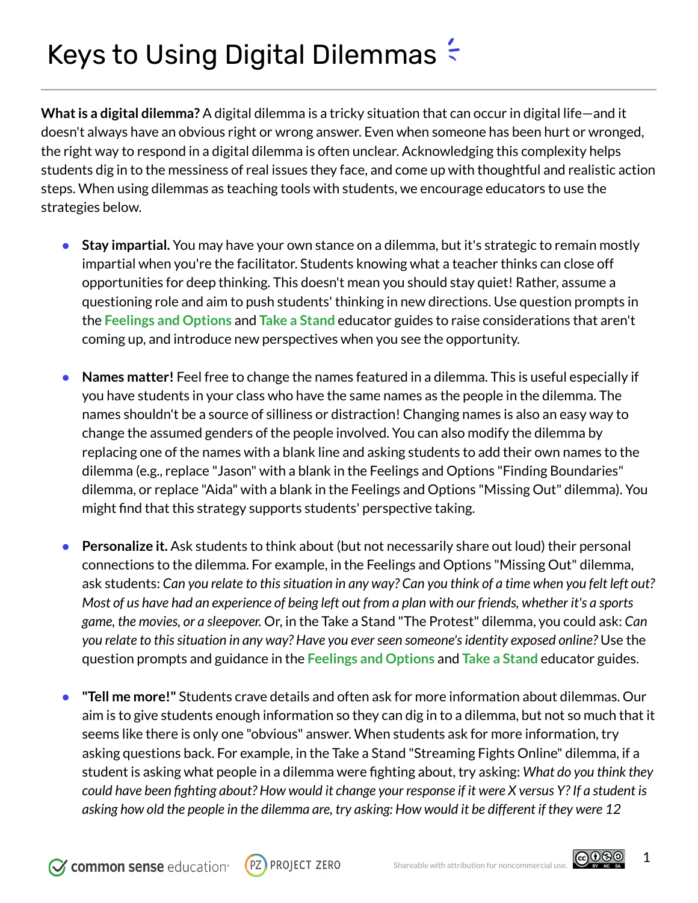## Keys to Using Digital Dilemmas  $\approx$

**What is a digital dilemma?** A digital dilemma is a tricky situation that can occur in digital life—and it doesn't always have an obvious right or wrong answer. Even when someone has been hurt or wronged, the right way to respond in a digital dilemma is often unclear. Acknowledging this complexity helps students dig in to the messiness of real issues they face, and come up with thoughtful and realistic action steps. When using dilemmas as teaching tools with students, we encourage educators to use the strategies below.

- **Stay impartial.** You may have your own stance on a dilemma, but it's strategic to remain mostly impartial when you're the facilitator. Students knowing what a teacher thinks can close off opportunities for deep thinking. This doesn't mean you should stay quiet! Rather, assume a questioning role and aim to push students' thinking in new directions. Use question prompts in the **Feelings and Options** and **Take a Stand** educator guides to raise considerations that aren't coming up, and introduce new perspectives when you see the opportunity.
- **Names matter!** Feel free to change the names featured in a dilemma. This is useful especially if you have students in your class who have the same names as the people in the dilemma. The names shouldn't be a source of silliness or distraction! Changing names is also an easy way to change the assumed genders of the people involved. You can also modify the dilemma by replacing one of the names with a blank line and asking students to add their own names to the dilemma (e.g., replace "Jason" with a blank in the Feelings and Options "Finding Boundaries" dilemma, or replace "Aida" with a blank in the Feelings and Options "Missing Out" dilemma). You might find that this strategy supports students' perspective taking.
- **Personalize it.** Ask students to think about (but not necessarily share out loud) their personal connections to the dilemma. For example, in the Feelings and Options "Missing Out" dilemma, ask students: Can you relate to this situation in any way? Can you think of a time when you felt left out? Most of us have had an experience of being left out from a plan with our friends, whether it's a sports *game, the movies, or a sleepover.* Or, in the Take a Stand "The Protest" dilemma, you could ask: *Can you relate to thissituation in any way? Have you everseen someone'sidentity exposed online?* Use the question prompts and guidance in the **Feelings and Options** and **Take a Stand** educator guides.
- **"Tell me more!"** Students crave details and often ask for more information about dilemmas. Our aim is to give students enough information so they can dig in to a dilemma, but not so much that it seems like there is only one "obvious" answer. When students ask for more information, try asking questions back. For example, in the Take a Stand "Streaming Fights Online" dilemma, if a student is asking what people in a dilemma were fighting about, try asking: *What do you think they* could have been fighting about? How would it change your response if it were X versus Y? If a student is asking how old the people in the dilemma are, try asking: How would it be different if they were 12



௵

1